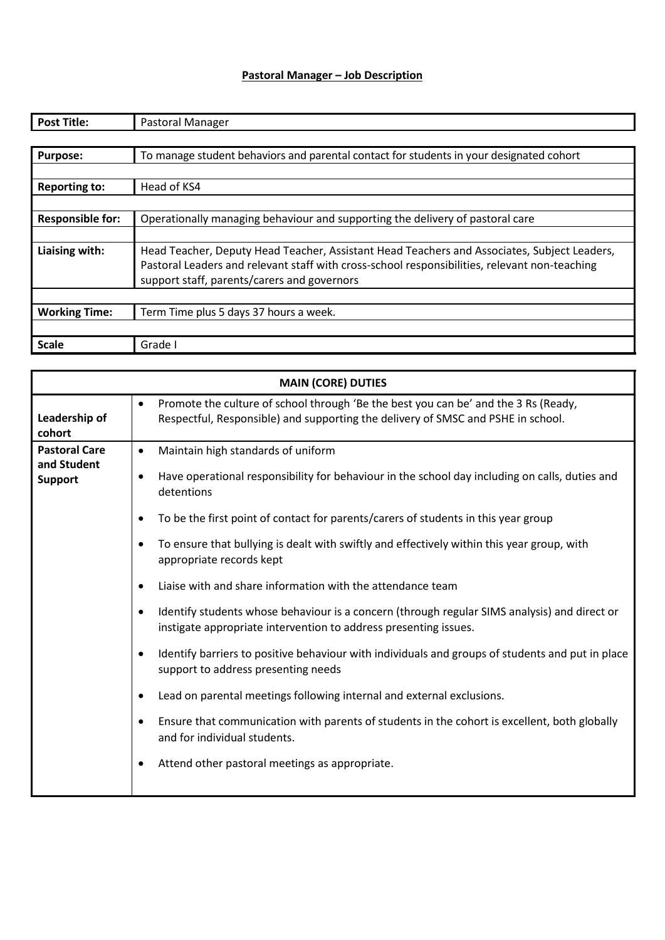## **Pastoral Manager – Job Description**

| <b>Post Title:</b>      | Pastoral Manager                                                                              |
|-------------------------|-----------------------------------------------------------------------------------------------|
|                         |                                                                                               |
| <b>Purpose:</b>         | To manage student behaviors and parental contact for students in your designated cohort       |
|                         |                                                                                               |
| <b>Reporting to:</b>    | Head of KS4                                                                                   |
|                         |                                                                                               |
| <b>Responsible for:</b> | Operationally managing behaviour and supporting the delivery of pastoral care                 |
|                         |                                                                                               |
| Liaising with:          | Head Teacher, Deputy Head Teacher, Assistant Head Teachers and Associates, Subject Leaders,   |
|                         | Pastoral Leaders and relevant staff with cross-school responsibilities, relevant non-teaching |
|                         | support staff, parents/carers and governors                                                   |
|                         |                                                                                               |
| <b>Working Time:</b>    | Term Time plus 5 days 37 hours a week.                                                        |
|                         |                                                                                               |
| <b>Scale</b>            | Grade I                                                                                       |

| <b>MAIN (CORE) DUTIES</b>                             |                                                                                                                                                                                                                                                                                                                                                                                                                                                                                                                                                                                                                                                                                                                                                                                                                                                                                                                                                                                                                                                                                  |  |
|-------------------------------------------------------|----------------------------------------------------------------------------------------------------------------------------------------------------------------------------------------------------------------------------------------------------------------------------------------------------------------------------------------------------------------------------------------------------------------------------------------------------------------------------------------------------------------------------------------------------------------------------------------------------------------------------------------------------------------------------------------------------------------------------------------------------------------------------------------------------------------------------------------------------------------------------------------------------------------------------------------------------------------------------------------------------------------------------------------------------------------------------------|--|
| Leadership of<br>cohort                               | Promote the culture of school through 'Be the best you can be' and the 3 Rs (Ready,<br>٠<br>Respectful, Responsible) and supporting the delivery of SMSC and PSHE in school.                                                                                                                                                                                                                                                                                                                                                                                                                                                                                                                                                                                                                                                                                                                                                                                                                                                                                                     |  |
| <b>Pastoral Care</b><br>and Student<br><b>Support</b> | Maintain high standards of uniform<br>$\bullet$<br>Have operational responsibility for behaviour in the school day including on calls, duties and<br>$\bullet$<br>detentions<br>To be the first point of contact for parents/carers of students in this year group<br>To ensure that bullying is dealt with swiftly and effectively within this year group, with<br>$\bullet$<br>appropriate records kept<br>Liaise with and share information with the attendance team<br>Identify students whose behaviour is a concern (through regular SIMS analysis) and direct or<br>instigate appropriate intervention to address presenting issues.<br>Identify barriers to positive behaviour with individuals and groups of students and put in place<br>$\bullet$<br>support to address presenting needs<br>Lead on parental meetings following internal and external exclusions.<br>٠<br>Ensure that communication with parents of students in the cohort is excellent, both globally<br>$\bullet$<br>and for individual students.<br>Attend other pastoral meetings as appropriate. |  |
|                                                       |                                                                                                                                                                                                                                                                                                                                                                                                                                                                                                                                                                                                                                                                                                                                                                                                                                                                                                                                                                                                                                                                                  |  |